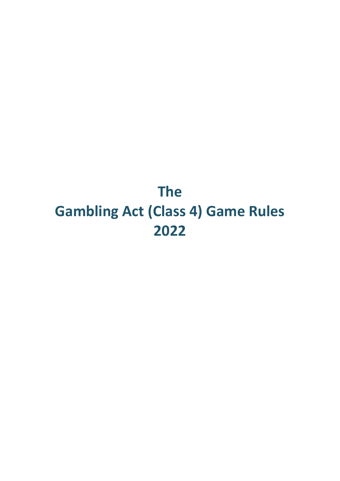# **The Gambling Act (Class 4) Game Rules 2022**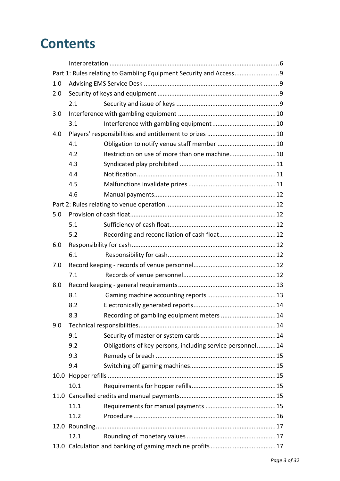# **Contents**

|     | Part 1: Rules relating to Gambling Equipment Security and Access9 |                                                           |  |  |  |  |
|-----|-------------------------------------------------------------------|-----------------------------------------------------------|--|--|--|--|
| 1.0 |                                                                   |                                                           |  |  |  |  |
| 2.0 |                                                                   |                                                           |  |  |  |  |
|     | 2.1                                                               |                                                           |  |  |  |  |
| 3.0 |                                                                   |                                                           |  |  |  |  |
|     | 3.1                                                               |                                                           |  |  |  |  |
| 4.0 |                                                                   |                                                           |  |  |  |  |
|     | 4.1                                                               |                                                           |  |  |  |  |
|     | 4.2                                                               | Restriction on use of more than one machine10             |  |  |  |  |
|     | 4.3                                                               |                                                           |  |  |  |  |
|     | 4.4                                                               |                                                           |  |  |  |  |
|     | 4.5                                                               |                                                           |  |  |  |  |
|     | 4.6                                                               |                                                           |  |  |  |  |
|     |                                                                   |                                                           |  |  |  |  |
| 5.0 |                                                                   |                                                           |  |  |  |  |
|     | 5.1                                                               |                                                           |  |  |  |  |
|     | 5.2                                                               |                                                           |  |  |  |  |
| 6.0 |                                                                   |                                                           |  |  |  |  |
|     | 6.1                                                               |                                                           |  |  |  |  |
| 7.0 |                                                                   |                                                           |  |  |  |  |
|     | 7.1                                                               |                                                           |  |  |  |  |
| 8.0 |                                                                   |                                                           |  |  |  |  |
|     | 8.1                                                               |                                                           |  |  |  |  |
|     | 8.2                                                               |                                                           |  |  |  |  |
|     | 8.3                                                               | Recording of gambling equipment meters  14                |  |  |  |  |
| 9.0 |                                                                   |                                                           |  |  |  |  |
|     | 9.1                                                               |                                                           |  |  |  |  |
|     | 9.2                                                               | Obligations of key persons, including service personnel14 |  |  |  |  |
|     | 9.3                                                               |                                                           |  |  |  |  |
|     | 9.4                                                               |                                                           |  |  |  |  |
|     |                                                                   |                                                           |  |  |  |  |
|     | 10.1                                                              |                                                           |  |  |  |  |
|     |                                                                   |                                                           |  |  |  |  |
|     | 11.1                                                              |                                                           |  |  |  |  |
|     | 11.2                                                              |                                                           |  |  |  |  |
|     |                                                                   |                                                           |  |  |  |  |
|     | 12.1                                                              |                                                           |  |  |  |  |
|     |                                                                   |                                                           |  |  |  |  |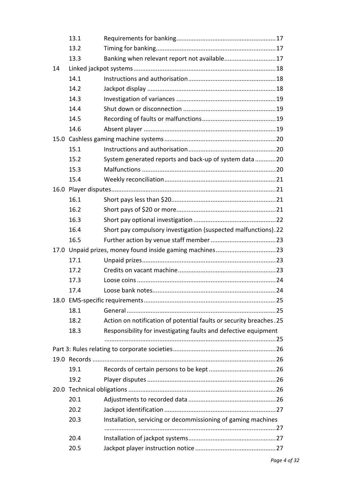|      | 13.1         |                                                                    |  |
|------|--------------|--------------------------------------------------------------------|--|
|      | 13.2         |                                                                    |  |
|      | 13.3         | Banking when relevant report not available17                       |  |
| 14   |              |                                                                    |  |
|      | 14.1         |                                                                    |  |
|      | 14.2         |                                                                    |  |
|      | 14.3         |                                                                    |  |
|      | 14.4         |                                                                    |  |
|      | 14.5         |                                                                    |  |
|      | 14.6         |                                                                    |  |
|      |              |                                                                    |  |
|      | 15.1         |                                                                    |  |
|      | 15.2         | System generated reports and back-up of system data20              |  |
|      | 15.3         |                                                                    |  |
|      | 15.4         |                                                                    |  |
| 16.0 |              |                                                                    |  |
|      | 16.1         |                                                                    |  |
|      | 16.2         |                                                                    |  |
|      | 16.3         |                                                                    |  |
|      | 16.4         | Short pay compulsory investigation (suspected malfunctions).22     |  |
|      | 16.5         |                                                                    |  |
|      |              |                                                                    |  |
|      |              |                                                                    |  |
|      | 17.1         |                                                                    |  |
|      | 17.2         |                                                                    |  |
|      | 17.3         |                                                                    |  |
|      | 17.4         |                                                                    |  |
|      |              |                                                                    |  |
|      | 18.1         |                                                                    |  |
|      | 18.2         | Action on notification of potential faults or security breaches.25 |  |
|      | 18.3         | Responsibility for investigating faults and defective equipment    |  |
|      |              |                                                                    |  |
|      |              |                                                                    |  |
|      |              |                                                                    |  |
|      | 19.1         |                                                                    |  |
|      | 19.2         |                                                                    |  |
|      |              |                                                                    |  |
|      | 20.1         |                                                                    |  |
|      | 20.2         |                                                                    |  |
|      | 20.3         | Installation, servicing or decommissioning of gaming machines      |  |
|      |              |                                                                    |  |
|      | 20.4<br>20.5 |                                                                    |  |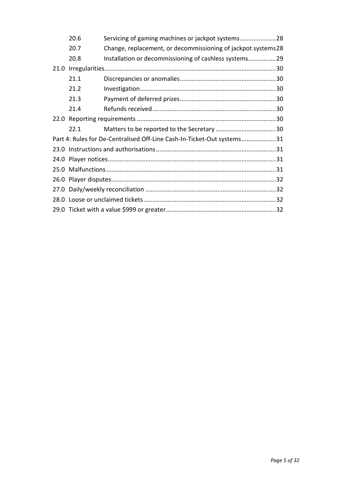|                                                                        | 20.6 | Servicing of gaming machines or jackpot systems28             |  |  |
|------------------------------------------------------------------------|------|---------------------------------------------------------------|--|--|
|                                                                        | 20.7 | Change, replacement, or decommissioning of jackpot systems 28 |  |  |
|                                                                        | 20.8 | Installation or decommissioning of cashless systems29         |  |  |
| 21.0                                                                   |      |                                                               |  |  |
|                                                                        | 21.1 |                                                               |  |  |
|                                                                        | 21.2 |                                                               |  |  |
|                                                                        | 21.3 |                                                               |  |  |
|                                                                        | 21.4 |                                                               |  |  |
|                                                                        |      |                                                               |  |  |
|                                                                        | 22.1 |                                                               |  |  |
| Part 4: Rules for De-Centralised Off-Line Cash-In-Ticket-Out systems31 |      |                                                               |  |  |
|                                                                        |      |                                                               |  |  |
|                                                                        |      |                                                               |  |  |
|                                                                        |      |                                                               |  |  |
|                                                                        |      |                                                               |  |  |
|                                                                        |      |                                                               |  |  |
|                                                                        |      |                                                               |  |  |
|                                                                        |      |                                                               |  |  |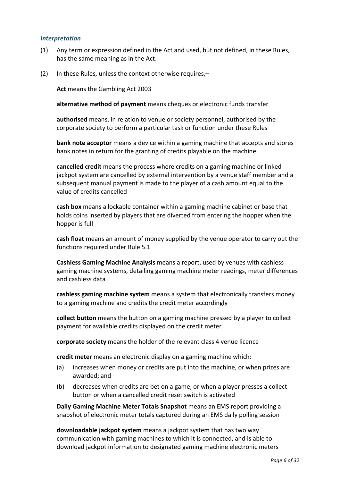#### <span id="page-4-0"></span>*Interpretation*

- (1) Any term or expression defined in the Act and used, but not defined, in these Rules, has the same meaning as in the Act.
- (2) In these Rules, unless the context otherwise requires,–

**Act** means the Gambling Act 2003

**alternative method of payment** means cheques or electronic funds transfer

**authorised** means, in relation to venue or society personnel, authorised by the corporate society to perform a particular task or function under these Rules

**bank note acceptor** means a device within a gaming machine that accepts and stores bank notes in return for the granting of credits playable on the machine

**cancelled credit** means the process where credits on a gaming machine or linked jackpot system are cancelled by external intervention by a venue staff member and a subsequent manual payment is made to the player of a cash amount equal to the value of credits cancelled

**cash box** means a lockable container within a gaming machine cabinet or base that holds coins inserted by players that are diverted from entering the hopper when the hopper is full

**cash float** means an amount of money supplied by the venue operator to carry out the functions required under Rule 5.1

**Cashless Gaming Machine Analysis** means a report, used by venues with cashless gaming machine systems, detailing gaming machine meter readings, meter differences and cashless data

**cashless gaming machine system** means a system that electronically transfers money to a gaming machine and credits the credit meter accordingly

**collect button** means the button on a gaming machine pressed by a player to collect payment for available credits displayed on the credit meter

**corporate society** means the holder of the relevant class 4 venue licence

**credit meter** means an electronic display on a gaming machine which:

- (a) increases when money or credits are put into the machine, or when prizes are awarded; and
- (b) decreases when credits are bet on a game, or when a player presses a collect button or when a cancelled credit reset switch is activated

**Daily Gaming Machine Meter Totals Snapshot** means an EMS report providing a snapshot of electronic meter totals captured during an EMS daily polling session

**downloadable jackpot system** means a jackpot system that has two way communication with gaming machines to which it is connected, and is able to download jackpot information to designated gaming machine electronic meters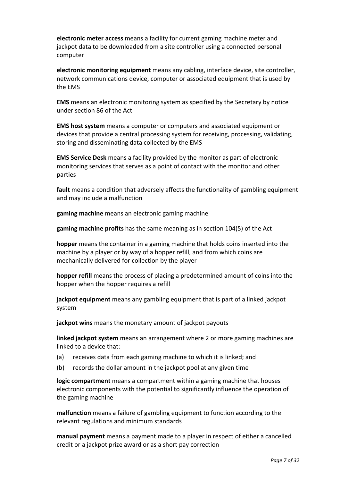**electronic meter access** means a facility for current gaming machine meter and jackpot data to be downloaded from a site controller using a connected personal computer

**electronic monitoring equipment** means any cabling, interface device, site controller, network communications device, computer or associated equipment that is used by the EMS

**EMS** means an electronic monitoring system as specified by the Secretary by notice under section 86 of the Act

**EMS host system** means a computer or computers and associated equipment or devices that provide a central processing system for receiving, processing, validating, storing and disseminating data collected by the EMS

**EMS Service Desk** means a facility provided by the monitor as part of electronic monitoring services that serves as a point of contact with the monitor and other parties

**fault** means a condition that adversely affects the functionality of gambling equipment and may include a malfunction

**gaming machine** means an electronic gaming machine

**gaming machine profits** has the same meaning as in section 104(5) of the Act

**hopper** means the container in a gaming machine that holds coins inserted into the machine by a player or by way of a hopper refill, and from which coins are mechanically delivered for collection by the player

**hopper refill** means the process of placing a predetermined amount of coins into the hopper when the hopper requires a refill

**jackpot equipment** means any gambling equipment that is part of a linked jackpot system

**jackpot wins** means the monetary amount of jackpot payouts

**linked jackpot system** means an arrangement where 2 or more gaming machines are linked to a device that:

- (a) receives data from each gaming machine to which it is linked; and
- (b) records the dollar amount in the jackpot pool at any given time

**logic compartment** means a compartment within a gaming machine that houses electronic components with the potential to significantly influence the operation of the gaming machine

**malfunction** means a failure of gambling equipment to function according to the relevant regulations and minimum standards

**manual payment** means a payment made to a player in respect of either a cancelled credit or a jackpot prize award or as a short pay correction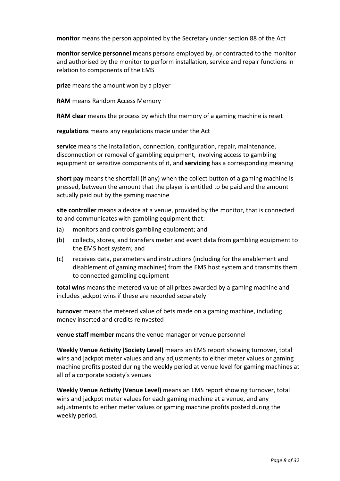**monitor** means the person appointed by the Secretary under section 88 of the Act

**monitor service personnel** means persons employed by, or contracted to the monitor and authorised by the monitor to perform installation, service and repair functions in relation to components of the EMS

**prize** means the amount won by a player

**RAM** means Random Access Memory

**RAM clear** means the process by which the memory of a gaming machine is reset

**regulations** means any regulations made under the Act

**service** means the installation, connection, configuration, repair, maintenance, disconnection or removal of gambling equipment, involving access to gambling equipment or sensitive components of it, and **servicing** has a corresponding meaning

**short pay** means the shortfall (if any) when the collect button of a gaming machine is pressed, between the amount that the player is entitled to be paid and the amount actually paid out by the gaming machine

**site controller** means a device at a venue, provided by the monitor, that is connected to and communicates with gambling equipment that:

- (a) monitors and controls gambling equipment; and
- (b) collects, stores, and transfers meter and event data from gambling equipment to the EMS host system; and
- (c) receives data, parameters and instructions (including for the enablement and disablement of gaming machines) from the EMS host system and transmits them to connected gambling equipment

**total wins** means the metered value of all prizes awarded by a gaming machine and includes jackpot wins if these are recorded separately

**turnover** means the metered value of bets made on a gaming machine, including money inserted and credits reinvested

**venue staff member** means the venue manager or venue personnel

**Weekly Venue Activity (Society Level)** means an EMS report showing turnover, total wins and jackpot meter values and any adjustments to either meter values or gaming machine profits posted during the weekly period at venue level for gaming machines at all of a corporate society's venues

**Weekly Venue Activity (Venue Level)** means an EMS report showing turnover, total wins and jackpot meter values for each gaming machine at a venue, and any adjustments to either meter values or gaming machine profits posted during the weekly period.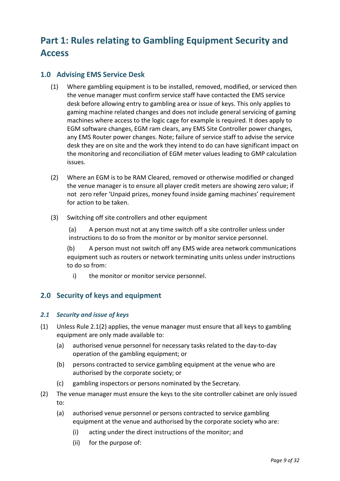# <span id="page-7-0"></span>**Part 1: Rules relating to Gambling Equipment Security and Access**

# <span id="page-7-1"></span>**1.0 Advising EMS Service Desk**

- (1) Where gambling equipment is to be installed, removed, modified, or serviced then the venue manager must confirm service staff have contacted the EMS service desk before allowing entry to gambling area or issue of keys. This only applies to gaming machine related changes and does not include general servicing of gaming machines where access to the logic cage for example is required. It does apply to EGM software changes, EGM ram clears, any EMS Site Controller power changes, any EMS Router power changes. Note; failure of service staff to advise the service desk they are on site and the work they intend to do can have significant impact on the monitoring and reconciliation of EGM meter values leading to GMP calculation issues.
- (2) Where an EGM is to be RAM Cleared, removed or otherwise modified or changed the venue manager is to ensure all player credit meters are showing zero value; if not zero refer 'Unpaid prizes, money found inside gaming machines' requirement for action to be taken.
- (3) Switching off site controllers and other equipment

(a) A person must not at any time switch off a site controller unless under instructions to do so from the monitor or by monitor service personnel.

(b) A person must not switch off any EMS wide area network communications equipment such as routers or network terminating units unless under instructions to do so from:

i) the monitor or monitor service personnel.

# <span id="page-7-2"></span>**2.0 Security of keys and equipment**

# <span id="page-7-3"></span>*2.1 Security and issue of keys*

- (1) Unless Rule 2.1(2) applies, the venue manager must ensure that all keys to gambling equipment are only made available to:
	- (a) authorised venue personnel for necessary tasks related to the day-to-day operation of the gambling equipment; or
	- (b) persons contracted to service gambling equipment at the venue who are authorised by the corporate society; or
	- (c) gambling inspectors or persons nominated by the Secretary.
- (2) The venue manager must ensure the keys to the site controller cabinet are only issued to:
	- (a) authorised venue personnel or persons contracted to service gambling equipment at the venue and authorised by the corporate society who are:
		- (i) acting under the direct instructions of the monitor; and
		- (ii) for the purpose of: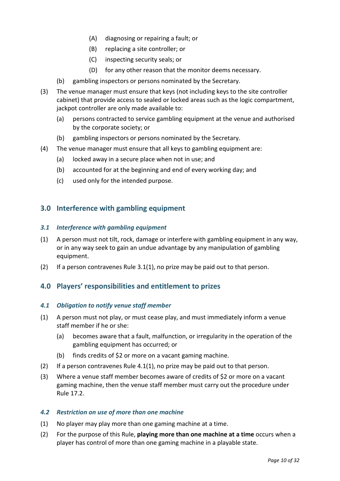- (A) diagnosing or repairing a fault; or
- (B) replacing a site controller; or
- (C) inspecting security seals; or
- (D) for any other reason that the monitor deems necessary.
- (b) gambling inspectors or persons nominated by the Secretary.
- (3) The venue manager must ensure that keys (not including keys to the site controller cabinet) that provide access to sealed or locked areas such as the logic compartment, jackpot controller are only made available to:
	- (a) persons contracted to service gambling equipment at the venue and authorised by the corporate society; or
	- (b) gambling inspectors or persons nominated by the Secretary.
- (4) The venue manager must ensure that all keys to gambling equipment are:
	- (a) locked away in a secure place when not in use; and
	- (b) accounted for at the beginning and end of every working day; and
	- (c) used only for the intended purpose.

# <span id="page-8-0"></span>**3.0 Interference with gambling equipment**

#### <span id="page-8-1"></span>*3.1 Interference with gambling equipment*

- (1) A person must not tilt, rock, damage or interfere with gambling equipment in any way, or in any way seek to gain an undue advantage by any manipulation of gambling equipment.
- (2) If a person contravenes Rule 3.1(1), no prize may be paid out to that person.

# <span id="page-8-2"></span>**4.0 Players' responsibilities and entitlement to prizes**

#### <span id="page-8-3"></span>*4.1 Obligation to notify venue staff member*

- (1) A person must not play, or must cease play, and must immediately inform a venue staff member if he or she:
	- (a) becomes aware that a fault, malfunction, or irregularity in the operation of the gambling equipment has occurred; or
	- (b) finds credits of  $$2$  or more on a vacant gaming machine.
- (2) If a person contravenes Rule  $4.1(1)$ , no prize may be paid out to that person.
- (3) Where a venue staff member becomes aware of credits of \$2 or more on a vacant gaming machine, then the venue staff member must carry out the procedure under Rule 17.2.

#### <span id="page-8-4"></span>*4.2 Restriction on use of more than one machine*

- (1) No player may play more than one gaming machine at a time.
- (2) For the purpose of this Rule, **playing more than one machine at a time** occurs when a player has control of more than one gaming machine in a playable state.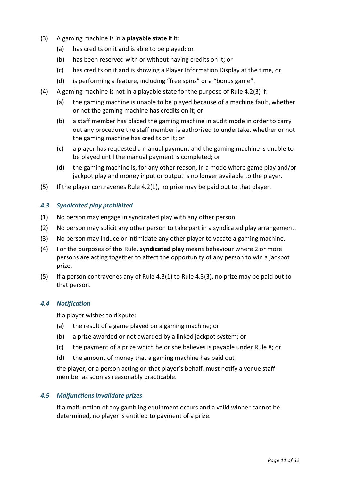- (3) A gaming machine is in a **playable state** if it:
	- (a) has credits on it and is able to be played; or
	- (b) has been reserved with or without having credits on it; or
	- (c) has credits on it and is showing a Player Information Display at the time, or
	- (d) is performing a feature, including "free spins" or a "bonus game".
- (4) A gaming machine is not in a playable state for the purpose of Rule 4.2(3) if:
	- (a) the gaming machine is unable to be played because of a machine fault, whether or not the gaming machine has credits on it; or
	- (b) a staff member has placed the gaming machine in audit mode in order to carry out any procedure the staff member is authorised to undertake, whether or not the gaming machine has credits on it; or
	- (c) a player has requested a manual payment and the gaming machine is unable to be played until the manual payment is completed; or
	- (d) the gaming machine is, for any other reason, in a mode where game play and/or jackpot play and money input or output is no longer available to the player.
- (5) If the player contravenes Rule 4.2(1), no prize may be paid out to that player.

#### <span id="page-9-0"></span>*4.3 Syndicated play prohibited*

- (1) No person may engage in syndicated play with any other person.
- (2) No person may solicit any other person to take part in a syndicated play arrangement.
- (3) No person may induce or intimidate any other player to vacate a gaming machine.
- (4) For the purposes of this Rule, **syndicated play** means behaviour where 2 or more persons are acting together to affect the opportunity of any person to win a jackpot prize.
- (5) If a person contravenes any of Rule  $4.3(1)$  to Rule  $4.3(3)$ , no prize may be paid out to that person.

#### <span id="page-9-1"></span>*4.4 Notification*

If a player wishes to dispute:

- (a) the result of a game played on a gaming machine; or
- (b) a prize awarded or not awarded by a linked jackpot system; or
- (c) the payment of a prize which he or she believes is payable under Rule 8; or
- (d) the amount of money that a gaming machine has paid out

the player, or a person acting on that player's behalf, must notify a venue staff member as soon as reasonably practicable.

#### <span id="page-9-2"></span>*4.5 Malfunctions invalidate prizes*

If a malfunction of any gambling equipment occurs and a valid winner cannot be determined, no player is entitled to payment of a prize.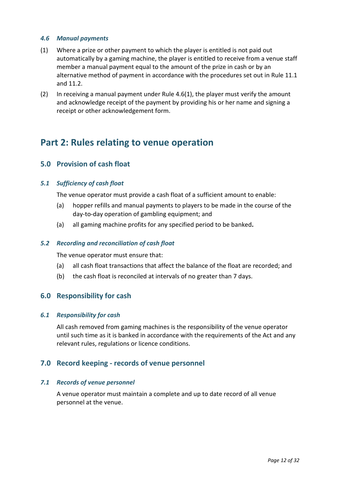#### <span id="page-10-0"></span>*4.6 Manual payments*

- (1) Where a prize or other payment to which the player is entitled is not paid out automatically by a gaming machine, the player is entitled to receive from a venue staff member a manual payment equal to the amount of the prize in cash or by an alternative method of payment in accordance with the procedures set out in Rule 11.1 and 11.2.
- (2) In receiving a manual payment under Rule 4.6(1), the player must verify the amount and acknowledge receipt of the payment by providing his or her name and signing a receipt or other acknowledgement form.

# <span id="page-10-1"></span>**Part 2: Rules relating to venue operation**

# <span id="page-10-2"></span>**5.0 Provision of cash float**

#### <span id="page-10-3"></span>*5.1 Sufficiency of cash float*

The venue operator must provide a cash float of a sufficient amount to enable:

- (a) hopper refills and manual payments to players to be made in the course of the day-to-day operation of gambling equipment; and
- (a) all gaming machine profits for any specified period to be banked**.**

#### <span id="page-10-4"></span>*5.2 Recording and reconciliation of cash float*

The venue operator must ensure that:

- (a) all cash float transactions that affect the balance of the float are recorded; and
- (b) the cash float is reconciled at intervals of no greater than 7 days.

# <span id="page-10-5"></span>**6.0 Responsibility for cash**

#### <span id="page-10-6"></span>*6.1 Responsibility for cash*

All cash removed from gaming machines is the responsibility of the venue operator until such time as it is banked in accordance with the requirements of the Act and any relevant rules, regulations or licence conditions.

# <span id="page-10-7"></span>**7.0 Record keeping - records of venue personnel**

#### <span id="page-10-8"></span>*7.1 Records of venue personnel*

A venue operator must maintain a complete and up to date record of all venue personnel at the venue.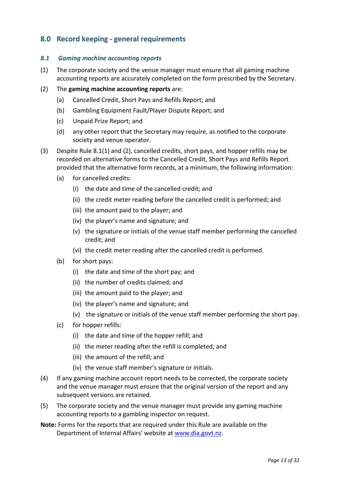# <span id="page-11-0"></span>**8.0 Record keeping - general requirements**

#### <span id="page-11-1"></span>*8.1 Gaming machine accounting reports*

(1) The corporate society and the venue manager must ensure that all gaming machine accounting reports are accurately completed on the form prescribed by the Secretary.

#### (2) The **gaming machine accounting reports** are:

- (a) Cancelled Credit, Short Pays and Refills Report; and
- (b) Gambling Equipment Fault/Player Dispute Report; and
- (c) Unpaid Prize Report; and
- (d) any other report that the Secretary may require, as notified to the corporate society and venue operator.
- (3) Despite Rule 8.1(1) and (2), cancelled credits, short pays, and hopper refills may be recorded on alternative forms to the Cancelled Credit, Short Pays and Refills Report provided that the alternative form records, at a minimum, the following information:
	- (a) for cancelled credits:
		- (i) the date and time of the cancelled credit; and
		- (ii) the credit meter reading before the cancelled credit is performed; and
		- (iii) the amount paid to the player; and
		- (iv) the player's name and signature; and
		- (v) the signature or initials of the venue staff member performing the cancelled credit; and
		- (vi) the credit meter reading after the cancelled credit is performed.
	- (b) for short pays:
		- (i) the date and time of the short pay; and
		- (ii) the number of credits claimed; and
		- (iii) the amount paid to the player; and
		- (iv) the player's name and signature; and
		- (v) the signature or initials of the venue staff member performing the short pay.
	- (c) for hopper refills:
		- (i) the date and time of the hopper refill; and
		- (ii) the meter reading after the refill is completed; and
		- (iii) the amount of the refill; and
		- (iv) the venue staff member's signature or initials.
- (4) If any gaming machine account report needs to be corrected, the corporate society and the venue manager must ensure that the original version of the report and any subsequent versions are retained.
- (5) The corporate society and the venue manager must provide any gaming machine accounting reports to a gambling inspector on request.
- **Note:** Forms for the reports that are required under this Rule are available on the Department of Internal Affairs' website at [www.dia.govt.nz.](http://www.dia.govt.nz/diawebsite.nsf/Files/Gambling-Consultation-4-Sept-2015/$file/www.dia.govt.nz)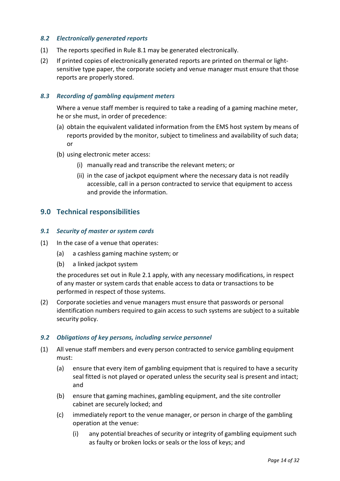#### <span id="page-12-0"></span>*8.2 Electronically generated reports*

- (1) The reports specified in Rule 8.1 may be generated electronically.
- (2) If printed copies of electronically generated reports are printed on thermal or lightsensitive type paper, the corporate society and venue manager must ensure that those reports are properly stored.

#### <span id="page-12-1"></span>*8.3 Recording of gambling equipment meters*

Where a venue staff member is required to take a reading of a gaming machine meter, he or she must, in order of precedence:

- (a) obtain the equivalent validated information from the EMS host system by means of reports provided by the monitor, subject to timeliness and availability of such data; or
- (b) using electronic meter access:
	- (i) manually read and transcribe the relevant meters; or
	- (ii) in the case of jackpot equipment where the necessary data is not readily accessible, call in a person contracted to service that equipment to access and provide the information.

# <span id="page-12-2"></span>**9.0 Technical responsibilities**

#### <span id="page-12-3"></span>*9.1 Security of master or system cards*

- (1) In the case of a venue that operates:
	- (a) a cashless gaming machine system; or
	- (b) a linked jackpot system

the procedures set out in Rule 2.1 apply, with any necessary modifications, in respect of any master or system cards that enable access to data or transactions to be performed in respect of those systems.

(2) Corporate societies and venue managers must ensure that passwords or personal identification numbers required to gain access to such systems are subject to a suitable security policy.

#### <span id="page-12-4"></span>*9.2 Obligations of key persons, including service personnel*

- (1) All venue staff members and every person contracted to service gambling equipment must:
	- (a) ensure that every item of gambling equipment that is required to have a security seal fitted is not played or operated unless the security seal is present and intact; and
	- (b) ensure that gaming machines, gambling equipment, and the site controller cabinet are securely locked; and
	- (c) immediately report to the venue manager, or person in charge of the gambling operation at the venue:
		- (i) any potential breaches of security or integrity of gambling equipment such as faulty or broken locks or seals or the loss of keys; and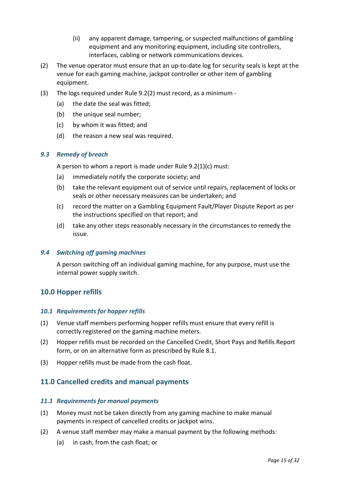- (ii) any apparent damage, tampering, or suspected malfunctions of gambling equipment and any monitoring equipment, including site controllers, interfaces, cabling or network communications devices.
- (2) The venue operator must ensure that an up-to-date log for security seals is kept at the venue for each gaming machine, jackpot controller or other item of gambling equipment.
- (3) The logs required under Rule 9.2(2) must record, as a minimum
	- (a) the date the seal was fitted;
	- (b) the unique seal number;
	- (c) by whom it was fitted; and
	- (d) the reason a new seal was required.

#### <span id="page-13-0"></span>*9.3 Remedy of breach*

A person to whom a report is made under Rule 9.2(1)(c) must:

- (a) immediately notify the corporate society; and
- (b) take the relevant equipment out of service until repairs, replacement of locks or seals or other necessary measures can be undertaken; and
- (c) record the matter on a Gambling Equipment Fault/Player Dispute Report as per the instructions specified on that report; and
- (d) take any other steps reasonably necessary in the circumstances to remedy the issue.

#### <span id="page-13-1"></span>*9.4 Switching off gaming machines*

A person switching off an individual gaming machine, for any purpose, must use the internal power supply switch.

# <span id="page-13-2"></span>**10.0 Hopper refills**

#### <span id="page-13-3"></span>*10.1 Requirements for hopper refills*

- (1) Venue staff members performing hopper refills must ensure that every refill is correctly registered on the gaming machine meters.
- (2) Hopper refills must be recorded on the Cancelled Credit, Short Pays and Refills Report form, or on an alternative form as prescribed by Rule 8.1.
- (3) Hopper refills must be made from the cash float.

# <span id="page-13-4"></span>**11.0 Cancelled credits and manual payments**

#### <span id="page-13-5"></span>*11.1 Requirements for manual payments*

- (1) Money must not be taken directly from any gaming machine to make manual payments in respect of cancelled credits or jackpot wins.
- (2) A venue staff member may make a manual payment by the following methods:
	- (a) in cash, from the cash float; or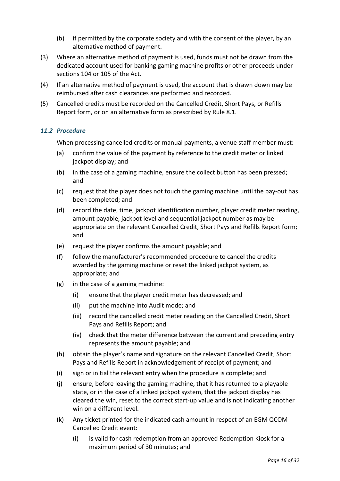- (b) if permitted by the corporate society and with the consent of the player, by an alternative method of payment.
- (3) Where an alternative method of payment is used, funds must not be drawn from the dedicated account used for banking gaming machine profits or other proceeds under sections 104 or 105 of the Act.
- (4) If an alternative method of payment is used, the account that is drawn down may be reimbursed after cash clearances are performed and recorded.
- (5) Cancelled credits must be recorded on the Cancelled Credit, Short Pays, or Refills Report form, or on an alternative form as prescribed by Rule 8.1.

#### <span id="page-14-0"></span>*11.2 Procedure*

When processing cancelled credits or manual payments, a venue staff member must:

- (a) confirm the value of the payment by reference to the credit meter or linked jackpot display; and
- (b) in the case of a gaming machine, ensure the collect button has been pressed; and
- (c) request that the player does not touch the gaming machine until the pay-out has been completed; and
- (d) record the date, time, jackpot identification number, player credit meter reading, amount payable, jackpot level and sequential jackpot number as may be appropriate on the relevant Cancelled Credit, Short Pays and Refills Report form; and
- (e) request the player confirms the amount payable; and
- (f) follow the manufacturer's recommended procedure to cancel the credits awarded by the gaming machine or reset the linked jackpot system, as appropriate; and
- (g) in the case of a gaming machine:
	- (i) ensure that the player credit meter has decreased; and
	- (ii) put the machine into Audit mode; and
	- (iii) record the cancelled credit meter reading on the Cancelled Credit, Short Pays and Refills Report; and
	- (iv) check that the meter difference between the current and preceding entry represents the amount payable; and
- (h) obtain the player's name and signature on the relevant Cancelled Credit, Short Pays and Refills Report in acknowledgement of receipt of payment; and
- (i) sign or initial the relevant entry when the procedure is complete; and
- (j) ensure, before leaving the gaming machine, that it has returned to a playable state, or in the case of a linked jackpot system, that the jackpot display has cleared the win, reset to the correct start-up value and is not indicating another win on a different level.
- (k) Any ticket printed for the indicated cash amount in respect of an EGM QCOM Cancelled Credit event:
	- (i) is valid for cash redemption from an approved Redemption Kiosk for a maximum period of 30 minutes; and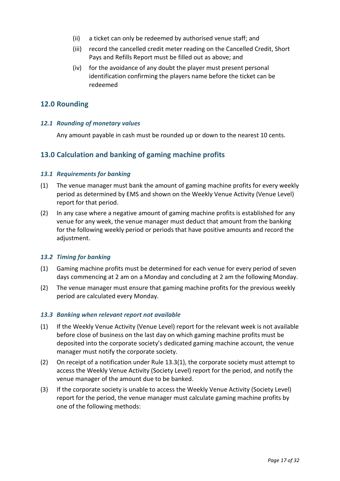- (ii) a ticket can only be redeemed by authorised venue staff; and
- (iii) record the cancelled credit meter reading on the Cancelled Credit, Short Pays and Refills Report must be filled out as above; and
- (iv) for the avoidance of any doubt the player must present personal identification confirming the players name before the ticket can be redeemed

# <span id="page-15-0"></span>**12.0 Rounding**

#### <span id="page-15-1"></span>*12.1 Rounding of monetary values*

Any amount payable in cash must be rounded up or down to the nearest 10 cents.

# <span id="page-15-2"></span>**13.0 Calculation and banking of gaming machine profits**

#### <span id="page-15-3"></span>*13.1 Requirements for banking*

- (1) The venue manager must bank the amount of gaming machine profits for every weekly period as determined by EMS and shown on the Weekly Venue Activity (Venue Level) report for that period.
- (2) In any case where a negative amount of gaming machine profits is established for any venue for any week, the venue manager must deduct that amount from the banking for the following weekly period or periods that have positive amounts and record the adjustment.

#### <span id="page-15-4"></span>*13.2 Timing for banking*

- (1) Gaming machine profits must be determined for each venue for every period of seven days commencing at 2 am on a Monday and concluding at 2 am the following Monday.
- (2) The venue manager must ensure that gaming machine profits for the previous weekly period are calculated every Monday.

#### <span id="page-15-5"></span>*13.3 Banking when relevant report not available*

- (1) If the Weekly Venue Activity (Venue Level) report for the relevant week is not available before close of business on the last day on which gaming machine profits must be deposited into the corporate society's dedicated gaming machine account, the venue manager must notify the corporate society.
- (2) On receipt of a notification under Rule 13.3(1), the corporate society must attempt to access the Weekly Venue Activity (Society Level) report for the period, and notify the venue manager of the amount due to be banked.
- (3) If the corporate society is unable to access the Weekly Venue Activity (Society Level) report for the period, the venue manager must calculate gaming machine profits by one of the following methods: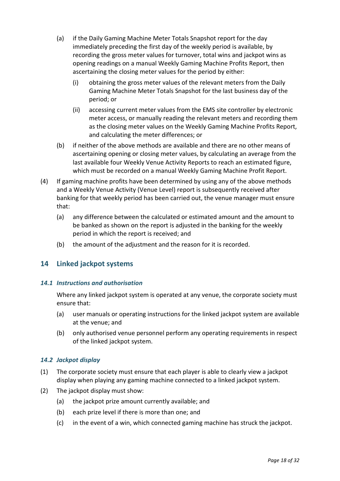- (a) if the Daily Gaming Machine Meter Totals Snapshot report for the day immediately preceding the first day of the weekly period is available, by recording the gross meter values for turnover, total wins and jackpot wins as opening readings on a manual Weekly Gaming Machine Profits Report, then ascertaining the closing meter values for the period by either:
	- (i) obtaining the gross meter values of the relevant meters from the Daily Gaming Machine Meter Totals Snapshot for the last business day of the period; or
	- (ii) accessing current meter values from the EMS site controller by electronic meter access, or manually reading the relevant meters and recording them as the closing meter values on the Weekly Gaming Machine Profits Report, and calculating the meter differences; or
- (b) if neither of the above methods are available and there are no other means of ascertaining opening or closing meter values, by calculating an average from the last available four Weekly Venue Activity Reports to reach an estimated figure, which must be recorded on a manual Weekly Gaming Machine Profit Report.
- (4) If gaming machine profits have been determined by using any of the above methods and a Weekly Venue Activity (Venue Level) report is subsequently received after banking for that weekly period has been carried out, the venue manager must ensure that:
	- (a) any difference between the calculated or estimated amount and the amount to be banked as shown on the report is adjusted in the banking for the weekly period in which the report is received; and
	- (b) the amount of the adjustment and the reason for it is recorded.

# <span id="page-16-0"></span>**14 Linked jackpot systems**

#### <span id="page-16-1"></span>*14.1 Instructions and authorisation*

Where any linked jackpot system is operated at any venue, the corporate society must ensure that:

- (a) user manuals or operating instructions for the linked jackpot system are available at the venue; and
- (b) only authorised venue personnel perform any operating requirements in respect of the linked jackpot system.

#### <span id="page-16-2"></span>*14.2 Jackpot display*

- (1) The corporate society must ensure that each player is able to clearly view a jackpot display when playing any gaming machine connected to a linked jackpot system.
- (2) The jackpot display must show:
	- (a) the jackpot prize amount currently available; and
	- (b) each prize level if there is more than one; and
	- (c) in the event of a win, which connected gaming machine has struck the jackpot.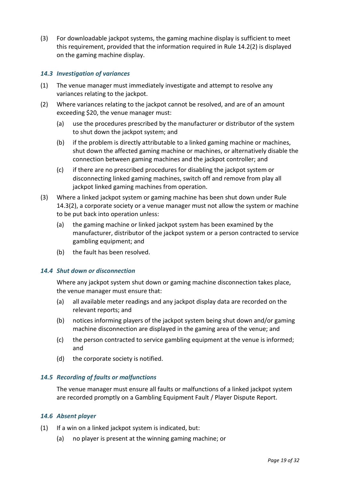(3) For downloadable jackpot systems, the gaming machine display is sufficient to meet this requirement, provided that the information required in Rule 14.2(2) is displayed on the gaming machine display.

#### <span id="page-17-0"></span>*14.3 Investigation of variances*

- (1) The venue manager must immediately investigate and attempt to resolve any variances relating to the jackpot.
- (2) Where variances relating to the jackpot cannot be resolved, and are of an amount exceeding \$20, the venue manager must:
	- (a) use the procedures prescribed by the manufacturer or distributor of the system to shut down the jackpot system; and
	- (b) if the problem is directly attributable to a linked gaming machine or machines, shut down the affected gaming machine or machines, or alternatively disable the connection between gaming machines and the jackpot controller; and
	- (c) if there are no prescribed procedures for disabling the jackpot system or disconnecting linked gaming machines, switch off and remove from play all jackpot linked gaming machines from operation.
- (3) Where a linked jackpot system or gaming machine has been shut down under Rule 14.3(2), a corporate society or a venue manager must not allow the system or machine to be put back into operation unless:
	- (a) the gaming machine or linked jackpot system has been examined by the manufacturer, distributor of the jackpot system or a person contracted to service gambling equipment; and
	- (b) the fault has been resolved.

#### <span id="page-17-1"></span>*14.4 Shut down or disconnection*

Where any jackpot system shut down or gaming machine disconnection takes place, the venue manager must ensure that:

- (a) all available meter readings and any jackpot display data are recorded on the relevant reports; and
- (b) notices informing players of the jackpot system being shut down and/or gaming machine disconnection are displayed in the gaming area of the venue; and
- (c) the person contracted to service gambling equipment at the venue is informed; and
- (d) the corporate society is notified.

#### <span id="page-17-2"></span>*14.5 Recording of faults or malfunctions*

The venue manager must ensure all faults or malfunctions of a linked jackpot system are recorded promptly on a Gambling Equipment Fault / Player Dispute Report.

#### <span id="page-17-3"></span>*14.6 Absent player*

- (1) If a win on a linked jackpot system is indicated, but:
	- (a) no player is present at the winning gaming machine; or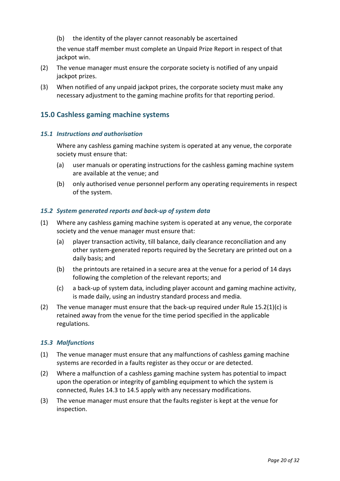(b) the identity of the player cannot reasonably be ascertained

the venue staff member must complete an Unpaid Prize Report in respect of that jackpot win.

- (2) The venue manager must ensure the corporate society is notified of any unpaid jackpot prizes.
- (3) When notified of any unpaid jackpot prizes, the corporate society must make any necessary adjustment to the gaming machine profits for that reporting period.

# <span id="page-18-0"></span>**15.0 Cashless gaming machine systems**

#### <span id="page-18-1"></span>*15.1 Instructions and authorisation*

Where any cashless gaming machine system is operated at any venue, the corporate society must ensure that:

- (a) user manuals or operating instructions for the cashless gaming machine system are available at the venue; and
- (b) only authorised venue personnel perform any operating requirements in respect of the system.

#### <span id="page-18-2"></span>*15.2 System generated reports and back-up of system data*

- (1) Where any cashless gaming machine system is operated at any venue, the corporate society and the venue manager must ensure that:
	- (a) player transaction activity, till balance, daily clearance reconciliation and any other system-generated reports required by the Secretary are printed out on a daily basis; and
	- (b) the printouts are retained in a secure area at the venue for a period of 14 days following the completion of the relevant reports; and
	- (c) a back-up of system data, including player account and gaming machine activity, is made daily, using an industry standard process and media.
- (2) The venue manager must ensure that the back-up required under Rule  $15.2(1)(c)$  is retained away from the venue for the time period specified in the applicable regulations.

#### <span id="page-18-3"></span>*15.3 Malfunctions*

- (1) The venue manager must ensure that any malfunctions of cashless gaming machine systems are recorded in a faults register as they occur or are detected.
- (2) Where a malfunction of a cashless gaming machine system has potential to impact upon the operation or integrity of gambling equipment to which the system is connected, Rules 14.3 to 14.5 apply with any necessary modifications.
- (3) The venue manager must ensure that the faults register is kept at the venue for inspection.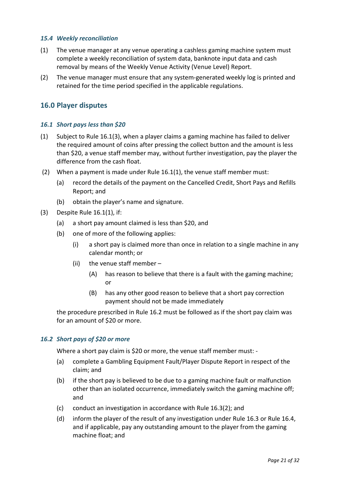#### <span id="page-19-0"></span>*15.4 Weekly reconciliation*

- (1) The venue manager at any venue operating a cashless gaming machine system must complete a weekly reconciliation of system data, banknote input data and cash removal by means of the Weekly Venue Activity (Venue Level) Report.
- (2) The venue manager must ensure that any system-generated weekly log is printed and retained for the time period specified in the applicable regulations.

# <span id="page-19-1"></span>**16.0 Player disputes**

#### <span id="page-19-2"></span>*16.1 Short pays less than \$20*

- (1) Subject to Rule 16.1(3), when a player claims a gaming machine has failed to deliver the required amount of coins after pressing the collect button and the amount is less than \$20, a venue staff member may, without further investigation, pay the player the difference from the cash float.
- (2) When a payment is made under Rule 16.1(1), the venue staff member must:
	- (a) record the details of the payment on the Cancelled Credit, Short Pays and Refills Report; and
	- (b) obtain the player's name and signature.
- (3) Despite Rule 16.1(1), if:
	- (a) a short pay amount claimed is less than \$20, and
	- (b) one of more of the following applies:
		- (i) a short pay is claimed more than once in relation to a single machine in any calendar month; or
		- (ii) the venue staff member
			- (A) has reason to believe that there is a fault with the gaming machine; or
			- (B) has any other good reason to believe that a short pay correction payment should not be made immediately

the procedure prescribed in Rule 16.2 must be followed as if the short pay claim was for an amount of \$20 or more.

#### <span id="page-19-3"></span>*16.2 Short pays of \$20 or more*

Where a short pay claim is \$20 or more, the venue staff member must: -

- (a) complete a Gambling Equipment Fault/Player Dispute Report in respect of the claim; and
- (b) if the short pay is believed to be due to a gaming machine fault or malfunction other than an isolated occurrence, immediately switch the gaming machine off; and
- (c) conduct an investigation in accordance with Rule 16.3(2); and
- (d) inform the player of the result of any investigation under Rule 16.3 or Rule 16.4, and if applicable, pay any outstanding amount to the player from the gaming machine float; and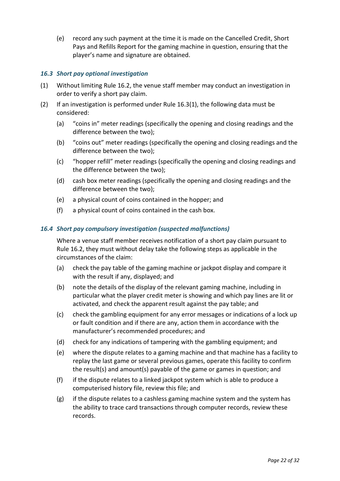(e) record any such payment at the time it is made on the Cancelled Credit, Short Pays and Refills Report for the gaming machine in question, ensuring that the player's name and signature are obtained.

#### <span id="page-20-0"></span>*16.3 Short pay optional investigation*

- (1) Without limiting Rule 16.2, the venue staff member may conduct an investigation in order to verify a short pay claim.
- (2) If an investigation is performed under Rule 16.3(1), the following data must be considered:
	- (a) "coins in" meter readings (specifically the opening and closing readings and the difference between the two);
	- (b) "coins out" meter readings (specifically the opening and closing readings and the difference between the two);
	- (c) "hopper refill" meter readings (specifically the opening and closing readings and the difference between the two);
	- (d) cash box meter readings (specifically the opening and closing readings and the difference between the two);
	- (e) a physical count of coins contained in the hopper; and
	- (f) a physical count of coins contained in the cash box.

#### <span id="page-20-1"></span>*16.4 Short pay compulsory investigation (suspected malfunctions)*

Where a venue staff member receives notification of a short pay claim pursuant to Rule 16.2, they must without delay take the following steps as applicable in the circumstances of the claim:

- (a) check the pay table of the gaming machine or jackpot display and compare it with the result if any, displayed; and
- (b) note the details of the display of the relevant gaming machine, including in particular what the player credit meter is showing and which pay lines are lit or activated, and check the apparent result against the pay table; and
- (c) check the gambling equipment for any error messages or indications of a lock up or fault condition and if there are any, action them in accordance with the manufacturer's recommended procedures; and
- (d) check for any indications of tampering with the gambling equipment; and
- (e) where the dispute relates to a gaming machine and that machine has a facility to replay the last game or several previous games, operate this facility to confirm the result(s) and amount(s) payable of the game or games in question; and
- (f) if the dispute relates to a linked jackpot system which is able to produce a computerised history file, review this file; and
- (g) if the dispute relates to a cashless gaming machine system and the system has the ability to trace card transactions through computer records, review these records.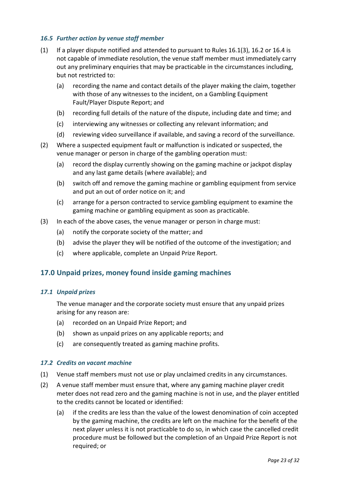#### <span id="page-21-0"></span>*16.5 Further action by venue staff member*

- (1) If a player dispute notified and attended to pursuant to Rules 16.1(3), 16.2 or 16.4 is not capable of immediate resolution, the venue staff member must immediately carry out any preliminary enquiries that may be practicable in the circumstances including, but not restricted to:
	- (a) recording the name and contact details of the player making the claim, together with those of any witnesses to the incident, on a Gambling Equipment Fault/Player Dispute Report; and
	- (b) recording full details of the nature of the dispute, including date and time; and
	- (c) interviewing any witnesses or collecting any relevant information; and
	- (d) reviewing video surveillance if available, and saving a record of the surveillance.
- (2) Where a suspected equipment fault or malfunction is indicated or suspected, the venue manager or person in charge of the gambling operation must:
	- (a) record the display currently showing on the gaming machine or jackpot display and any last game details (where available); and
	- (b) switch off and remove the gaming machine or gambling equipment from service and put an out of order notice on it; and
	- (c) arrange for a person contracted to service gambling equipment to examine the gaming machine or gambling equipment as soon as practicable.
- (3) In each of the above cases, the venue manager or person in charge must:
	- (a) notify the corporate society of the matter; and
	- (b) advise the player they will be notified of the outcome of the investigation; and
	- (c) where applicable, complete an Unpaid Prize Report.

# <span id="page-21-1"></span>**17.0 Unpaid prizes, money found inside gaming machines**

#### <span id="page-21-2"></span>*17.1 Unpaid prizes*

The venue manager and the corporate society must ensure that any unpaid prizes arising for any reason are:

- (a) recorded on an Unpaid Prize Report; and
- (b) shown as unpaid prizes on any applicable reports; and
- (c) are consequently treated as gaming machine profits.

#### <span id="page-21-3"></span>*17.2 Credits on vacant machine*

- (1) Venue staff members must not use or play unclaimed credits in any circumstances.
- (2) A venue staff member must ensure that, where any gaming machine player credit meter does not read zero and the gaming machine is not in use, and the player entitled to the credits cannot be located or identified:
	- (a) if the credits are less than the value of the lowest denomination of coin accepted by the gaming machine, the credits are left on the machine for the benefit of the next player unless it is not practicable to do so, in which case the cancelled credit procedure must be followed but the completion of an Unpaid Prize Report is not required; or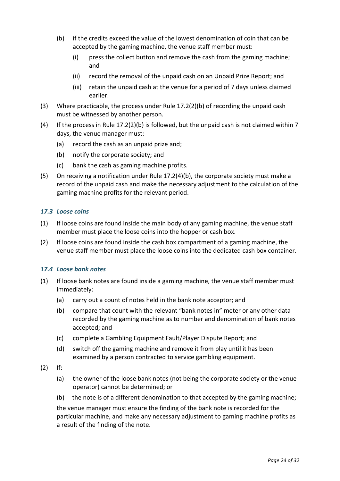- (b) if the credits exceed the value of the lowest denomination of coin that can be accepted by the gaming machine, the venue staff member must:
	- (i) press the collect button and remove the cash from the gaming machine; and
	- (ii) record the removal of the unpaid cash on an Unpaid Prize Report; and
	- (iii) retain the unpaid cash at the venue for a period of 7 days unless claimed earlier.
- (3) Where practicable, the process under Rule 17.2(2)(b) of recording the unpaid cash must be witnessed by another person.
- (4) If the process in Rule 17.2(2)(b) is followed, but the unpaid cash is not claimed within 7 days, the venue manager must:
	- (a) record the cash as an unpaid prize and;
	- (b) notify the corporate society; and
	- (c) bank the cash as gaming machine profits.
- (5) On receiving a notification under Rule 17.2(4)(b), the corporate society must make a record of the unpaid cash and make the necessary adjustment to the calculation of the gaming machine profits for the relevant period.

#### <span id="page-22-0"></span>*17.3 Loose coins*

- (1) If loose coins are found inside the main body of any gaming machine, the venue staff member must place the loose coins into the hopper or cash box.
- (2) If loose coins are found inside the cash box compartment of a gaming machine, the venue staff member must place the loose coins into the dedicated cash box container.

# <span id="page-22-1"></span>*17.4 Loose bank notes*

- (1) If loose bank notes are found inside a gaming machine, the venue staff member must immediately:
	- (a) carry out a count of notes held in the bank note acceptor; and
	- (b) compare that count with the relevant "bank notes in" meter or any other data recorded by the gaming machine as to number and denomination of bank notes accepted; and
	- (c) complete a Gambling Equipment Fault/Player Dispute Report; and
	- (d) switch off the gaming machine and remove it from play until it has been examined by a person contracted to service gambling equipment.
- (2) If:
	- (a) the owner of the loose bank notes (not being the corporate society or the venue operator) cannot be determined; or
	- (b) the note is of a different denomination to that accepted by the gaming machine;

the venue manager must ensure the finding of the bank note is recorded for the particular machine, and make any necessary adjustment to gaming machine profits as a result of the finding of the note.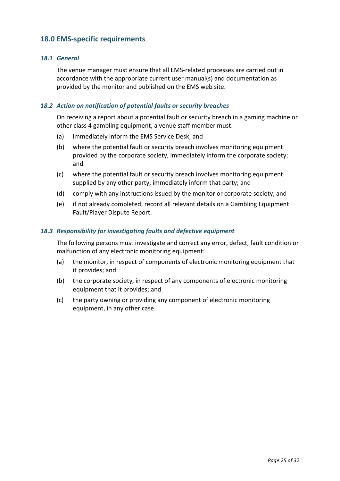# <span id="page-23-0"></span>**18.0 EMS-specific requirements**

#### <span id="page-23-1"></span>*18.1 General*

The venue manager must ensure that all EMS-related processes are carried out in accordance with the appropriate current user manual(s) and documentation as provided by the monitor and published on the EMS web site.

#### <span id="page-23-2"></span>*18.2 Action on notification of potential faults or security breaches*

On receiving a report about a potential fault or security breach in a gaming machine or other class 4 gambling equipment, a venue staff member must:

- (a) immediately inform the EMS Service Desk; and
- (b) where the potential fault or security breach involves monitoring equipment provided by the corporate society, immediately inform the corporate society; and
- (c) where the potential fault or security breach involves monitoring equipment supplied by any other party, immediately inform that party; and
- (d) comply with any instructions issued by the monitor or corporate society; and
- (e) if not already completed, record all relevant details on a Gambling Equipment Fault/Player Dispute Report.

#### <span id="page-23-3"></span>*18.3 Responsibility for investigating faults and defective equipment*

The following persons must investigate and correct any error, defect, fault condition or malfunction of any electronic monitoring equipment:

- (a) the monitor, in respect of components of electronic monitoring equipment that it provides; and
- (b) the corporate society, in respect of any components of electronic monitoring equipment that it provides; and
- (c) the party owning or providing any component of electronic monitoring equipment, in any other case.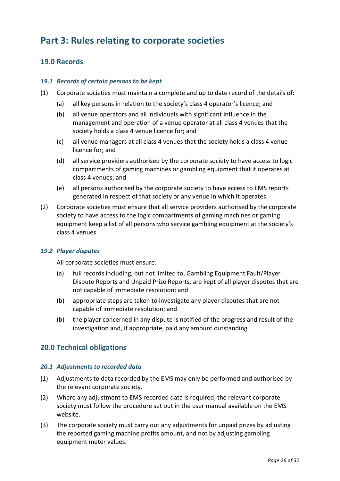# <span id="page-24-0"></span>**Part 3: Rules relating to corporate societies**

# <span id="page-24-1"></span>**19.0 Records**

#### <span id="page-24-2"></span>*19.1 Records of certain persons to be kept*

- (1) Corporate societies must maintain a complete and up to date record of the details of:
	- (a) all key persons in relation to the society's class 4 operator's licence; and
	- (b) all venue operators and all individuals with significant influence in the management and operation of a venue operator at all class 4 venues that the society holds a class 4 venue licence for; and
	- (c) all venue managers at all class 4 venues that the society holds a class 4 venue licence for; and
	- (d) all service providers authorised by the corporate society to have access to logic compartments of gaming machines or gambling equipment that it operates at class 4 venues; and
	- (e) all persons authorised by the corporate society to have access to EMS reports generated in respect of that society or any venue in which it operates.
- (2) Corporate societies must ensure that all service providers authorised by the corporate society to have access to the logic compartments of gaming machines or gaming equipment keep a list of all persons who service gambling equipment at the society's class 4 venues.

#### <span id="page-24-3"></span>*19.2 Player disputes*

All corporate societies must ensure:

- (a) full records including, but not limited to, Gambling Equipment Fault/Player Dispute Reports and Unpaid Prize Reports, are kept of all player disputes that are not capable of immediate resolution; and
- (b) appropriate steps are taken to investigate any player disputes that are not capable of immediate resolution; and
- (b) the player concerned in any dispute is notified of the progress and result of the investigation and, if appropriate, paid any amount outstanding.

# <span id="page-24-4"></span>**20.0 Technical obligations**

#### <span id="page-24-5"></span>*20.1 Adjustments to recorded data*

- (1) Adjustments to data recorded by the EMS may only be performed and authorised by the relevant corporate society.
- (2) Where any adjustment to EMS recorded data is required, the relevant corporate society must follow the procedure set out in the user manual available on the EMS website.
- (3) The corporate society must carry out any adjustments for unpaid prizes by adjusting the reported gaming machine profits amount, and not by adjusting gambling equipment meter values.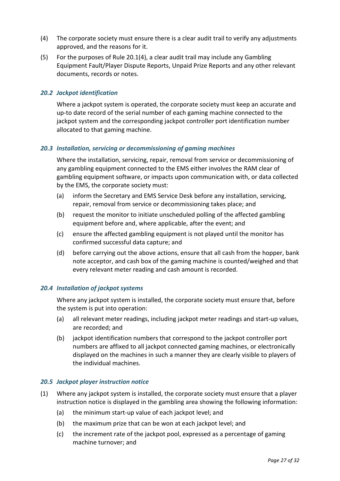- (4) The corporate society must ensure there is a clear audit trail to verify any adjustments approved, and the reasons for it.
- (5) For the purposes of Rule 20.1(4), a clear audit trail may include any Gambling Equipment Fault/Player Dispute Reports, Unpaid Prize Reports and any other relevant documents, records or notes.

#### <span id="page-25-0"></span>*20.2 Jackpot identification*

Where a jackpot system is operated, the corporate society must keep an accurate and up-to date record of the serial number of each gaming machine connected to the jackpot system and the corresponding jackpot controller port identification number allocated to that gaming machine.

#### <span id="page-25-1"></span>*20.3 Installation, servicing or decommissioning of gaming machines*

Where the installation, servicing, repair, removal from service or decommissioning of any gambling equipment connected to the EMS either involves the RAM clear of gambling equipment software, or impacts upon communication with, or data collected by the EMS, the corporate society must:

- (a) inform the Secretary and EMS Service Desk before any installation, servicing, repair, removal from service or decommissioning takes place; and
- (b) request the monitor to initiate unscheduled polling of the affected gambling equipment before and, where applicable, after the event; and
- (c) ensure the affected gambling equipment is not played until the monitor has confirmed successful data capture; and
- (d) before carrying out the above actions, ensure that all cash from the hopper, bank note acceptor, and cash box of the gaming machine is counted/weighed and that every relevant meter reading and cash amount is recorded.

#### <span id="page-25-2"></span>*20.4 Installation of jackpot systems*

Where any jackpot system is installed, the corporate society must ensure that, before the system is put into operation:

- (a) all relevant meter readings, including jackpot meter readings and start-up values, are recorded; and
- (b) jackpot identification numbers that correspond to the jackpot controller port numbers are affixed to all jackpot connected gaming machines, or electronically displayed on the machines in such a manner they are clearly visible to players of the individual machines.

#### <span id="page-25-3"></span>*20.5 Jackpot player instruction notice*

- (1) Where any jackpot system is installed, the corporate society must ensure that a player instruction notice is displayed in the gambling area showing the following information:
	- (a) the minimum start-up value of each jackpot level; and
	- (b) the maximum prize that can be won at each jackpot level; and
	- (c) the increment rate of the jackpot pool, expressed as a percentage of gaming machine turnover; and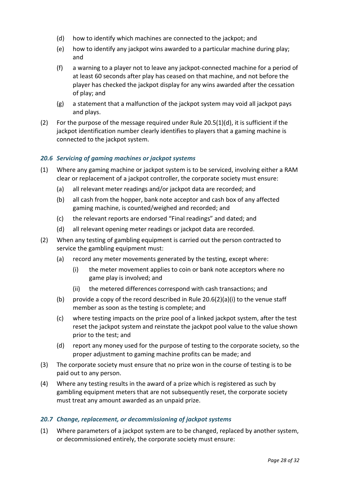- (d) how to identify which machines are connected to the jackpot; and
- (e) how to identify any jackpot wins awarded to a particular machine during play; and
- (f) a warning to a player not to leave any jackpot-connected machine for a period of at least 60 seconds after play has ceased on that machine, and not before the player has checked the jackpot display for any wins awarded after the cessation of play; and
- (g) a statement that a malfunction of the jackpot system may void all jackpot pays and plays.
- (2) For the purpose of the message required under Rule  $20.5(1)(d)$ , it is sufficient if the jackpot identification number clearly identifies to players that a gaming machine is connected to the jackpot system.

#### <span id="page-26-0"></span>*20.6 Servicing of gaming machines or jackpot systems*

- (1) Where any gaming machine or jackpot system is to be serviced, involving either a RAM clear or replacement of a jackpot controller, the corporate society must ensure:
	- (a) all relevant meter readings and/or jackpot data are recorded; and
	- (b) all cash from the hopper, bank note acceptor and cash box of any affected gaming machine, is counted/weighed and recorded; and
	- (c) the relevant reports are endorsed "Final readings" and dated; and
	- (d) all relevant opening meter readings or jackpot data are recorded.
- (2) When any testing of gambling equipment is carried out the person contracted to service the gambling equipment must:
	- (a) record any meter movements generated by the testing, except where:
		- (i) the meter movement applies to coin or bank note acceptors where no game play is involved; and
		- (ii) the metered differences correspond with cash transactions; and
	- (b) provide a copy of the record described in Rule 20.6(2)(a)(i) to the venue staff member as soon as the testing is complete; and
	- (c) where testing impacts on the prize pool of a linked jackpot system, after the test reset the jackpot system and reinstate the jackpot pool value to the value shown prior to the test; and
	- (d) report any money used for the purpose of testing to the corporate society, so the proper adjustment to gaming machine profits can be made; and
- (3) The corporate society must ensure that no prize won in the course of testing is to be paid out to any person.
- (4) Where any testing results in the award of a prize which is registered as such by gambling equipment meters that are not subsequently reset, the corporate society must treat any amount awarded as an unpaid prize.

#### <span id="page-26-1"></span>*20.7 Change, replacement, or decommissioning of jackpot systems*

(1) Where parameters of a jackpot system are to be changed, replaced by another system, or decommissioned entirely, the corporate society must ensure: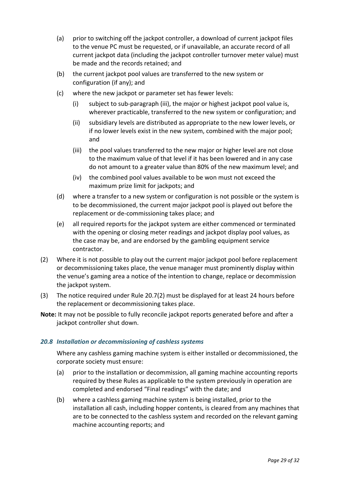- (a) prior to switching off the jackpot controller, a download of current jackpot files to the venue PC must be requested, or if unavailable, an accurate record of all current jackpot data (including the jackpot controller turnover meter value) must be made and the records retained; and
- (b) the current jackpot pool values are transferred to the new system or configuration (if any); and
- (c) where the new jackpot or parameter set has fewer levels:
	- (i) subject to sub-paragraph (iii), the major or highest jackpot pool value is, wherever practicable, transferred to the new system or configuration; and
	- (ii) subsidiary levels are distributed as appropriate to the new lower levels, or if no lower levels exist in the new system, combined with the major pool; and
	- (iii) the pool values transferred to the new major or higher level are not close to the maximum value of that level if it has been lowered and in any case do not amount to a greater value than 80% of the new maximum level; and
	- (iv) the combined pool values available to be won must not exceed the maximum prize limit for jackpots; and
- (d) where a transfer to a new system or configuration is not possible or the system is to be decommissioned, the current major jackpot pool is played out before the replacement or de-commissioning takes place; and
- (e) all required reports for the jackpot system are either commenced or terminated with the opening or closing meter readings and jackpot display pool values, as the case may be, and are endorsed by the gambling equipment service contractor.
- (2) Where it is not possible to play out the current major jackpot pool before replacement or decommissioning takes place, the venue manager must prominently display within the venue's gaming area a notice of the intention to change, replace or decommission the jackpot system.
- (3) The notice required under Rule 20.7(2) must be displayed for at least 24 hours before the replacement or decommissioning takes place.
- **Note:** It may not be possible to fully reconcile jackpot reports generated before and after a jackpot controller shut down.

# <span id="page-27-0"></span>*20.8 Installation or decommissioning of cashless systems*

Where any cashless gaming machine system is either installed or decommissioned, the corporate society must ensure:

- (a) prior to the installation or decommission, all gaming machine accounting reports required by these Rules as applicable to the system previously in operation are completed and endorsed "Final readings" with the date; and
- (b) where a cashless gaming machine system is being installed, prior to the installation all cash, including hopper contents, is cleared from any machines that are to be connected to the cashless system and recorded on the relevant gaming machine accounting reports; and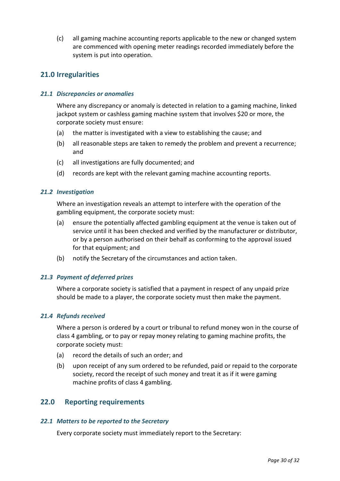(c) all gaming machine accounting reports applicable to the new or changed system are commenced with opening meter readings recorded immediately before the system is put into operation.

# <span id="page-28-0"></span>**21.0 Irregularities**

#### <span id="page-28-1"></span>*21.1 Discrepancies or anomalies*

Where any discrepancy or anomaly is detected in relation to a gaming machine, linked jackpot system or cashless gaming machine system that involves \$20 or more, the corporate society must ensure:

- (a) the matter is investigated with a view to establishing the cause; and
- (b) all reasonable steps are taken to remedy the problem and prevent a recurrence; and
- (c) all investigations are fully documented; and
- (d) records are kept with the relevant gaming machine accounting reports.

#### <span id="page-28-2"></span>*21.2 Investigation*

Where an investigation reveals an attempt to interfere with the operation of the gambling equipment, the corporate society must:

- (a) ensure the potentially affected gambling equipment at the venue is taken out of service until it has been checked and verified by the manufacturer or distributor, or by a person authorised on their behalf as conforming to the approval issued for that equipment; and
- (b) notify the Secretary of the circumstances and action taken.

# <span id="page-28-3"></span>*21.3 Payment of deferred prizes*

Where a corporate society is satisfied that a payment in respect of any unpaid prize should be made to a player, the corporate society must then make the payment.

#### <span id="page-28-4"></span>*21.4 Refunds received*

Where a person is ordered by a court or tribunal to refund money won in the course of class 4 gambling, or to pay or repay money relating to gaming machine profits, the corporate society must:

- (a) record the details of such an order; and
- (b) upon receipt of any sum ordered to be refunded, paid or repaid to the corporate society, record the receipt of such money and treat it as if it were gaming machine profits of class 4 gambling.

# <span id="page-28-5"></span>**22.0 Reporting requirements**

#### <span id="page-28-6"></span>*22.1 Matters to be reported to the Secretary*

Every corporate society must immediately report to the Secretary: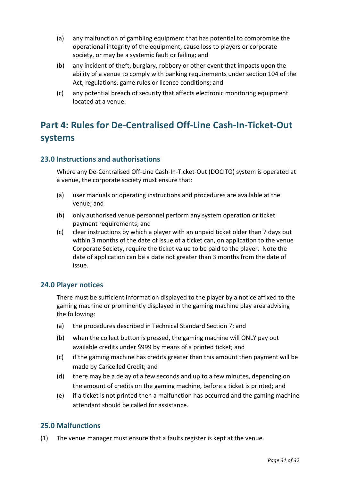- (a) any malfunction of gambling equipment that has potential to compromise the operational integrity of the equipment, cause loss to players or corporate society, or may be a systemic fault or failing; and
- (b) any incident of theft, burglary, robbery or other event that impacts upon the ability of a venue to comply with banking requirements under section 104 of the Act, regulations, game rules or licence conditions; and
- (c) any potential breach of security that affects electronic monitoring equipment located at a venue.

# <span id="page-29-0"></span>**Part 4: Rules for De-Centralised Off-Line Cash-In-Ticket-Out systems**

# <span id="page-29-1"></span>**23.0 Instructions and authorisations**

Where any De-Centralised Off-Line Cash-In-Ticket-Out (DOCITO) system is operated at a venue, the corporate society must ensure that:

- (a) user manuals or operating instructions and procedures are available at the venue; and
- (b) only authorised venue personnel perform any system operation or ticket payment requirements; and
- (c) clear instructions by which a player with an unpaid ticket older than 7 days but within 3 months of the date of issue of a ticket can, on application to the venue Corporate Society, require the ticket value to be paid to the player. Note the date of application can be a date not greater than 3 months from the date of issue.

# <span id="page-29-2"></span>**24.0 Player notices**

There must be sufficient information displayed to the player by a notice affixed to the gaming machine or prominently displayed in the gaming machine play area advising the following:

- (a) the procedures described in Technical Standard Section 7; and
- (b) when the collect button is pressed, the gaming machine will ONLY pay out available credits under \$999 by means of a printed ticket; and
- (c) if the gaming machine has credits greater than this amount then payment will be made by Cancelled Credit; and
- (d) there may be a delay of a few seconds and up to a few minutes, depending on the amount of credits on the gaming machine, before a ticket is printed; and
- (e) if a ticket is not printed then a malfunction has occurred and the gaming machine attendant should be called for assistance.

# <span id="page-29-3"></span>**25.0 Malfunctions**

(1) The venue manager must ensure that a faults register is kept at the venue.